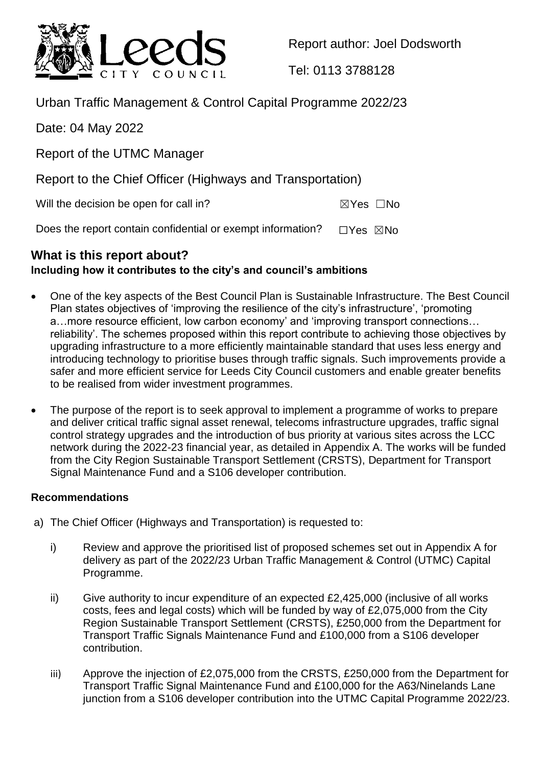

Report author: Joel Dodsworth

Tel: 0113 3788128

Urban Traffic Management & Control Capital Programme 2022/23

Date: 04 May 2022

Report of the UTMC Manager

Report to the Chief Officer (Highways and Transportation)

Will the decision be open for call in?  $\boxtimes Y$ es  $\Box$ No

Does the report contain confidential or exempt information? □Yes ⊠No

## **What is this report about?**

## **Including how it contributes to the city's and council's ambitions**

- One of the key aspects of the Best Council Plan is Sustainable Infrastructure. The Best Council Plan states objectives of 'improving the resilience of the city's infrastructure', 'promoting a…more resource efficient, low carbon economy' and 'improving transport connections… reliability'. The schemes proposed within this report contribute to achieving those objectives by upgrading infrastructure to a more efficiently maintainable standard that uses less energy and introducing technology to prioritise buses through traffic signals. Such improvements provide a safer and more efficient service for Leeds City Council customers and enable greater benefits to be realised from wider investment programmes.
- The purpose of the report is to seek approval to implement a programme of works to prepare and deliver critical traffic signal asset renewal, telecoms infrastructure upgrades, traffic signal control strategy upgrades and the introduction of bus priority at various sites across the LCC network during the 2022-23 financial year, as detailed in Appendix A. The works will be funded from the City Region Sustainable Transport Settlement (CRSTS), Department for Transport Signal Maintenance Fund and a S106 developer contribution.

## **Recommendations**

- a) The Chief Officer (Highways and Transportation) is requested to:
	- i) Review and approve the prioritised list of proposed schemes set out in Appendix A for delivery as part of the 2022/23 Urban Traffic Management & Control (UTMC) Capital Programme.
	- ii) Give authority to incur expenditure of an expected £2,425,000 (inclusive of all works costs, fees and legal costs) which will be funded by way of £2,075,000 from the City Region Sustainable Transport Settlement (CRSTS), £250,000 from the Department for Transport Traffic Signals Maintenance Fund and £100,000 from a S106 developer contribution.
	- iii) Approve the injection of £2,075,000 from the CRSTS, £250,000 from the Department for Transport Traffic Signal Maintenance Fund and £100,000 for the A63/Ninelands Lane junction from a S106 developer contribution into the UTMC Capital Programme 2022/23.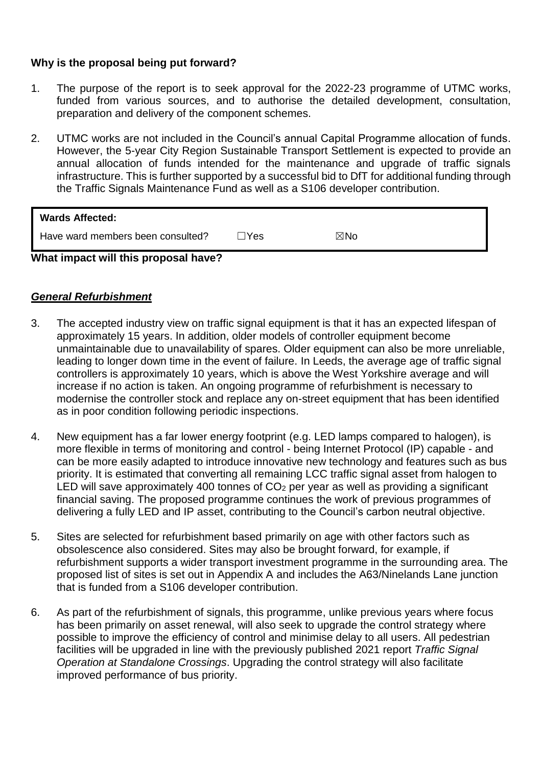#### **Why is the proposal being put forward?**

- 1. The purpose of the report is to seek approval for the 2022-23 programme of UTMC works, funded from various sources, and to authorise the detailed development, consultation, preparation and delivery of the component schemes.
- 2. UTMC works are not included in the Council's annual Capital Programme allocation of funds. However, the 5-year City Region Sustainable Transport Settlement is expected to provide an annual allocation of funds intended for the maintenance and upgrade of traffic signals infrastructure. This is further supported by a successful bid to DfT for additional funding through the Traffic Signals Maintenance Fund as well as a S106 developer contribution.

| <b>Wards Affected:</b>               |      |     |  |
|--------------------------------------|------|-----|--|
| Have ward members been consulted?    | ∏Yes | ⊠No |  |
| What impact will this proposal have? |      |     |  |

#### *General Refurbishment*

- 3. The accepted industry view on traffic signal equipment is that it has an expected lifespan of approximately 15 years. In addition, older models of controller equipment become unmaintainable due to unavailability of spares. Older equipment can also be more unreliable, leading to longer down time in the event of failure. In Leeds, the average age of traffic signal controllers is approximately 10 years, which is above the West Yorkshire average and will increase if no action is taken. An ongoing programme of refurbishment is necessary to modernise the controller stock and replace any on-street equipment that has been identified as in poor condition following periodic inspections.
- 4. New equipment has a far lower energy footprint (e.g. LED lamps compared to halogen), is more flexible in terms of monitoring and control - being Internet Protocol (IP) capable - and can be more easily adapted to introduce innovative new technology and features such as bus priority. It is estimated that converting all remaining LCC traffic signal asset from halogen to LED will save approximately 400 tonnes of  $CO<sub>2</sub>$  per year as well as providing a significant financial saving. The proposed programme continues the work of previous programmes of delivering a fully LED and IP asset, contributing to the Council's carbon neutral objective.
- 5. Sites are selected for refurbishment based primarily on age with other factors such as obsolescence also considered. Sites may also be brought forward, for example, if refurbishment supports a wider transport investment programme in the surrounding area. The proposed list of sites is set out in Appendix A and includes the A63/Ninelands Lane junction that is funded from a S106 developer contribution.
- 6. As part of the refurbishment of signals, this programme, unlike previous years where focus has been primarily on asset renewal, will also seek to upgrade the control strategy where possible to improve the efficiency of control and minimise delay to all users. All pedestrian facilities will be upgraded in line with the previously published 2021 report *Traffic Signal Operation at Standalone Crossings*. Upgrading the control strategy will also facilitate improved performance of bus priority.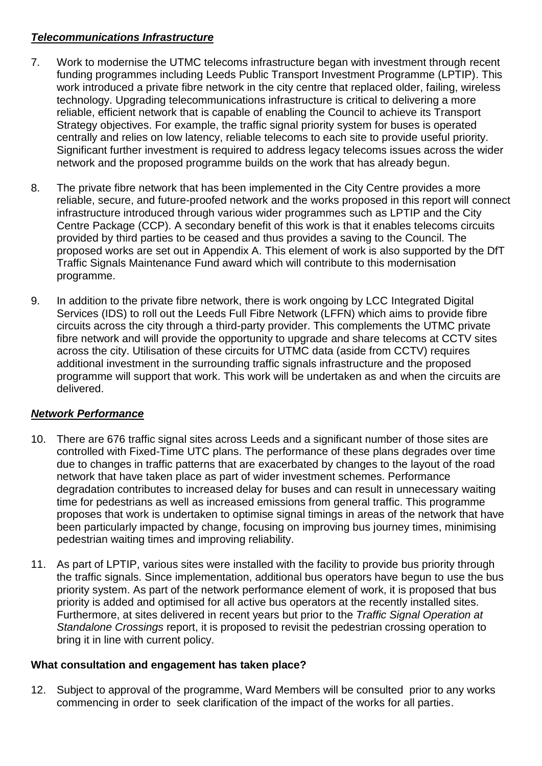### *Telecommunications Infrastructure*

- 7. Work to modernise the UTMC telecoms infrastructure began with investment through recent funding programmes including Leeds Public Transport Investment Programme (LPTIP). This work introduced a private fibre network in the city centre that replaced older, failing, wireless technology. Upgrading telecommunications infrastructure is critical to delivering a more reliable, efficient network that is capable of enabling the Council to achieve its Transport Strategy objectives. For example, the traffic signal priority system for buses is operated centrally and relies on low latency, reliable telecoms to each site to provide useful priority. Significant further investment is required to address legacy telecoms issues across the wider network and the proposed programme builds on the work that has already begun.
- 8. The private fibre network that has been implemented in the City Centre provides a more reliable, secure, and future-proofed network and the works proposed in this report will connect infrastructure introduced through various wider programmes such as LPTIP and the City Centre Package (CCP). A secondary benefit of this work is that it enables telecoms circuits provided by third parties to be ceased and thus provides a saving to the Council. The proposed works are set out in Appendix A. This element of work is also supported by the DfT Traffic Signals Maintenance Fund award which will contribute to this modernisation programme.
- 9. In addition to the private fibre network, there is work ongoing by LCC Integrated Digital Services (IDS) to roll out the Leeds Full Fibre Network (LFFN) which aims to provide fibre circuits across the city through a third-party provider. This complements the UTMC private fibre network and will provide the opportunity to upgrade and share telecoms at CCTV sites across the city. Utilisation of these circuits for UTMC data (aside from CCTV) requires additional investment in the surrounding traffic signals infrastructure and the proposed programme will support that work. This work will be undertaken as and when the circuits are delivered.

## *Network Performance*

- 10. There are 676 traffic signal sites across Leeds and a significant number of those sites are controlled with Fixed-Time UTC plans. The performance of these plans degrades over time due to changes in traffic patterns that are exacerbated by changes to the layout of the road network that have taken place as part of wider investment schemes. Performance degradation contributes to increased delay for buses and can result in unnecessary waiting time for pedestrians as well as increased emissions from general traffic. This programme proposes that work is undertaken to optimise signal timings in areas of the network that have been particularly impacted by change, focusing on improving bus journey times, minimising pedestrian waiting times and improving reliability.
- 11. As part of LPTIP, various sites were installed with the facility to provide bus priority through the traffic signals. Since implementation, additional bus operators have begun to use the bus priority system. As part of the network performance element of work, it is proposed that bus priority is added and optimised for all active bus operators at the recently installed sites. Furthermore, at sites delivered in recent years but prior to the *Traffic Signal Operation at Standalone Crossings* report, it is proposed to revisit the pedestrian crossing operation to bring it in line with current policy.

## **What consultation and engagement has taken place?**

12. Subject to approval of the programme, Ward Members will be consulted prior to any works commencing in order to seek clarification of the impact of the works for all parties.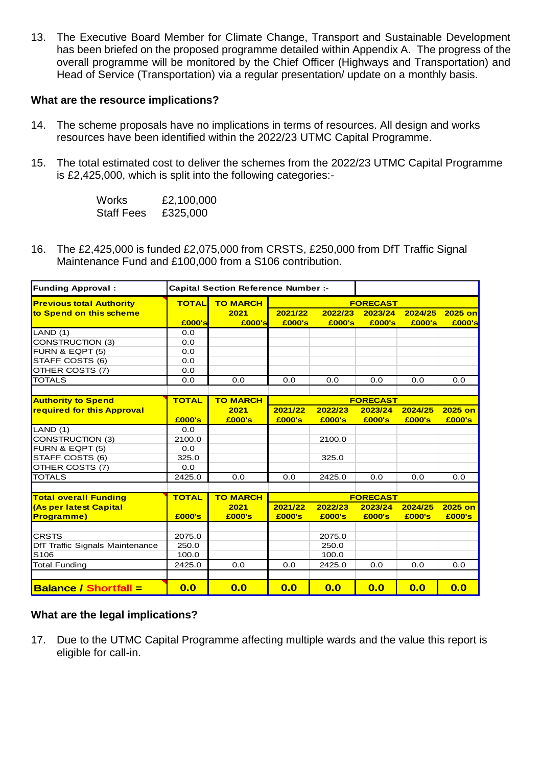13. The Executive Board Member for Climate Change, Transport and Sustainable Development has been briefed on the proposed programme detailed within Appendix A. The progress of the overall programme will be monitored by the Chief Officer (Highways and Transportation) and Head of Service (Transportation) via a regular presentation/ update on a monthly basis.

#### **What are the resource implications?**

- 14. The scheme proposals have no implications in terms of resources. All design and works resources have been identified within the 2022/23 UTMC Capital Programme.
- 15. The total estimated cost to deliver the schemes from the 2022/23 UTMC Capital Programme is £2,425,000, which is split into the following categories:-

| Works             | £2,100,000 |
|-------------------|------------|
| <b>Staff Fees</b> | £325,000   |

16. The £2,425,000 is funded £2,075,000 from CRSTS, £250,000 from DfT Traffic Signal Maintenance Fund and £100,000 from a S106 contribution.

| <b>Funding Approval:</b>               | Capital Section Reference Number :- |                 |                   |                   |                   |                   |                   |  |
|----------------------------------------|-------------------------------------|-----------------|-------------------|-------------------|-------------------|-------------------|-------------------|--|
| <b>Previous total Authority</b>        | <b>TOTAL</b>                        | <b>TO MARCH</b> |                   |                   | <b>FORECAST</b>   |                   |                   |  |
| to Spend on this scheme                | £000's                              | 2021<br>£000's  | 2021/22<br>£000's | 2022/23<br>£000's | 2023/24<br>£000's | 2024/25<br>£000's | 2025 on<br>£000's |  |
| LAND (1)                               | 0.0                                 |                 |                   |                   |                   |                   |                   |  |
| CONSTRUCTION (3)                       | 0.0                                 |                 |                   |                   |                   |                   |                   |  |
| FURN & EQPT (5)                        | 0.0                                 |                 |                   |                   |                   |                   |                   |  |
| STAFF COSTS (6)                        | 0.0                                 |                 |                   |                   |                   |                   |                   |  |
| OTHER COSTS (7)                        | 0.0                                 |                 |                   |                   |                   |                   |                   |  |
| <b>TOTALS</b>                          | 0.0                                 | 0.0             | 0.0               | 0.0               | 0.0               | 0.0               | 0.0               |  |
| <b>Authority to Spend</b>              | <b>TOTAL</b>                        | <b>TO MARCH</b> | <b>FORECAST</b>   |                   |                   |                   |                   |  |
| required for this Approval             |                                     | 2021            | 2021/22           | 2022/23           | 2023/24           | 2024/25           | 2025 on           |  |
|                                        | £000's                              | £000's          | £000's            | £000's            | £000's            | £000's            | £000's            |  |
| LAND (1)                               | 0.0                                 |                 |                   |                   |                   |                   |                   |  |
| CONSTRUCTION (3)                       | 2100.0                              |                 |                   | 2100.0            |                   |                   |                   |  |
| FURN & EQPT (5)                        | 0.0                                 |                 |                   |                   |                   |                   |                   |  |
| STAFF COSTS (6)                        | 325.0                               |                 |                   | 325.0             |                   |                   |                   |  |
| OTHER COSTS (7)                        | 0.0                                 |                 |                   |                   |                   |                   |                   |  |
| <b>TOTALS</b>                          | 2425.0                              | 0.0             | 0.0               | 2425.0            | 0.0               | 0.0               | 0.0               |  |
|                                        |                                     |                 |                   |                   |                   |                   |                   |  |
| <b>Total overall Funding</b>           | <b>TOTAL</b>                        | <b>TO MARCH</b> |                   |                   | <b>FORECAST</b>   |                   |                   |  |
| <b>As per latest Capital</b>           |                                     | 2021            | 2021/22           | 2022/23           | 2023/24           | 2024/25           | $2025$ on         |  |
| <b>Programme)</b>                      | £000's                              | £000's          | £000's            | £000's            | £000's            | £000's            | £000's            |  |
|                                        |                                     |                 |                   |                   |                   |                   |                   |  |
| <b>CRSTS</b>                           | 2075.0                              |                 |                   | 2075.0            |                   |                   |                   |  |
| <b>DfT Traffic Signals Maintenance</b> | 250.0                               |                 |                   | 250.0             |                   |                   |                   |  |
| S <sub>106</sub>                       | 100.0                               |                 |                   | 100.0             |                   |                   |                   |  |
| Total Funding                          | 2425.0                              | 0.0             | 0.0               | 2425.0            | 0.0               | 0.0               | 0.0               |  |
|                                        |                                     |                 |                   |                   |                   |                   |                   |  |
| <b>Balance / Shortfall =</b>           | 0.0                                 | 0.0             | 0.0               | 0.0               | 0.0               | 0.0               | 0.0               |  |

#### **What are the legal implications?**

17. Due to the UTMC Capital Programme affecting multiple wards and the value this report is eligible for call-in.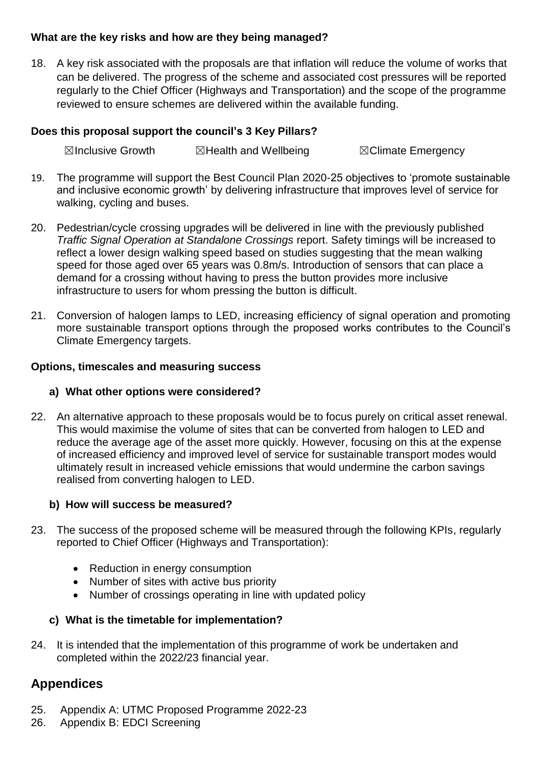#### **What are the key risks and how are they being managed?**

18. A key risk associated with the proposals are that inflation will reduce the volume of works that can be delivered. The progress of the scheme and associated cost pressures will be reported regularly to the Chief Officer (Highways and Transportation) and the scope of the programme reviewed to ensure schemes are delivered within the available funding.

#### **Does this proposal support the council's 3 Key Pillars?**

**⊠Inclusive Growth 2 ⊠Health and Wellbeing 7 SClimate Emergency** 

- 19. The programme will support the Best Council Plan 2020-25 objectives to 'promote sustainable and inclusive economic growth' by delivering infrastructure that improves level of service for walking, cycling and buses.
- 20. Pedestrian/cycle crossing upgrades will be delivered in line with the previously published *Traffic Signal Operation at Standalone Crossings* report. Safety timings will be increased to reflect a lower design walking speed based on studies suggesting that the mean walking speed for those aged over 65 years was 0.8m/s. Introduction of sensors that can place a demand for a crossing without having to press the button provides more inclusive infrastructure to users for whom pressing the button is difficult.
- 21. Conversion of halogen lamps to LED, increasing efficiency of signal operation and promoting more sustainable transport options through the proposed works contributes to the Council's Climate Emergency targets.

#### **Options, timescales and measuring success**

#### **a) What other options were considered?**

22. An alternative approach to these proposals would be to focus purely on critical asset renewal. This would maximise the volume of sites that can be converted from halogen to LED and reduce the average age of the asset more quickly. However, focusing on this at the expense of increased efficiency and improved level of service for sustainable transport modes would ultimately result in increased vehicle emissions that would undermine the carbon savings realised from converting halogen to LED.

#### **b) How will success be measured?**

- 23. The success of the proposed scheme will be measured through the following KPIs, regularly reported to Chief Officer (Highways and Transportation):
	- Reduction in energy consumption
	- Number of sites with active bus priority
	- Number of crossings operating in line with updated policy

#### **c) What is the timetable for implementation?**

24. It is intended that the implementation of this programme of work be undertaken and completed within the 2022/23 financial year.

## **Appendices**

- 25. Appendix A: UTMC Proposed Programme 2022-23
- 26. Appendix B: EDCI Screening